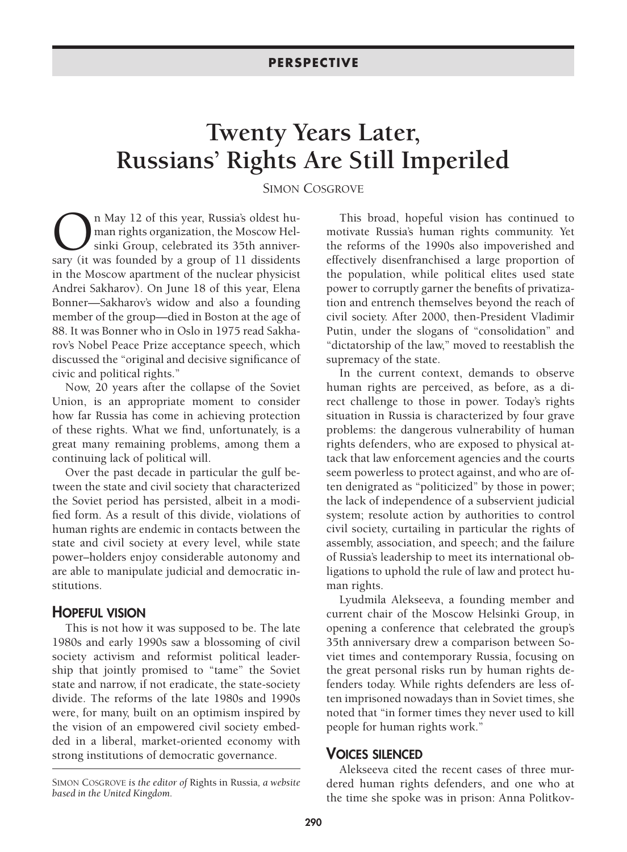# **Twenty Years Later, Russians' Rights Are Still Imperiled**

## Simon Cosgrove

**On** May 12 of this year, Russia's oldest human rights organization, the Moscow Helsinki Group, celebrated its 35th anniversary (it was founded by a group of 11 dissidents man rights organization, the Moscow Helsinki Group, celebrated its 35th anniversary (it was founded by a group of 11 dissidents in the Moscow apartment of the nuclear physicist Andrei Sakharov). On June 18 of this year, Elena Bonner—Sakharov's widow and also a founding member of the group—died in Boston at the age of 88. It was Bonner who in Oslo in 1975 read Sakharov's Nobel Peace Prize acceptance speech, which discussed the "original and decisive significance of civic and political rights."

Now, 20 years after the collapse of the Soviet Union, is an appropriate moment to consider how far Russia has come in achieving protection of these rights. What we find, unfortunately, is a great many remaining problems, among them a continuing lack of political will.

Over the past decade in particular the gulf between the state and civil society that characterized the Soviet period has persisted, albeit in a modified form. As a result of this divide, violations of human rights are endemic in contacts between the state and civil society at every level, while state power–holders enjoy considerable autonomy and are able to manipulate judicial and democratic institutions.

#### Hopeful vision

This is not how it was supposed to be. The late 1980s and early 1990s saw a blossoming of civil society activism and reformist political leadership that jointly promised to "tame" the Soviet state and narrow, if not eradicate, the state-society divide. The reforms of the late 1980s and 1990s were, for many, built on an optimism inspired by the vision of an empowered civil society embedded in a liberal, market-oriented economy with strong institutions of democratic governance.

This broad, hopeful vision has continued to motivate Russia's human rights community. Yet the reforms of the 1990s also impoverished and effectively disenfranchised a large proportion of the population, while political elites used state power to corruptly garner the benefits of privatization and entrench themselves beyond the reach of civil society. After 2000, then-President Vladimir Putin, under the slogans of "consolidation" and "dictatorship of the law," moved to reestablish the supremacy of the state.

In the current context, demands to observe human rights are perceived, as before, as a direct challenge to those in power. Today's rights situation in Russia is characterized by four grave problems: the dangerous vulnerability of human rights defenders, who are exposed to physical attack that law enforcement agencies and the courts seem powerless to protect against, and who are often denigrated as "politicized" by those in power; the lack of independence of a subservient judicial system; resolute action by authorities to control civil society, curtailing in particular the rights of assembly, association, and speech; and the failure of Russia's leadership to meet its international obligations to uphold the rule of law and protect human rights.

Lyudmila Alekseeva, a founding member and current chair of the Moscow Helsinki Group, in opening a conference that celebrated the group's 35th anniversary drew a comparison between Soviet times and contemporary Russia, focusing on the great personal risks run by human rights defenders today. While rights defenders are less often imprisoned nowadays than in Soviet times, she noted that "in former times they never used to kill people for human rights work."

#### Voices silenced

Alekseeva cited the recent cases of three murdered human rights defenders, and one who at the time she spoke was in prison: Anna Politkov-

Simon Cosgrove *is the editor of* Rights in Russia*, a website based in the United Kingdom.*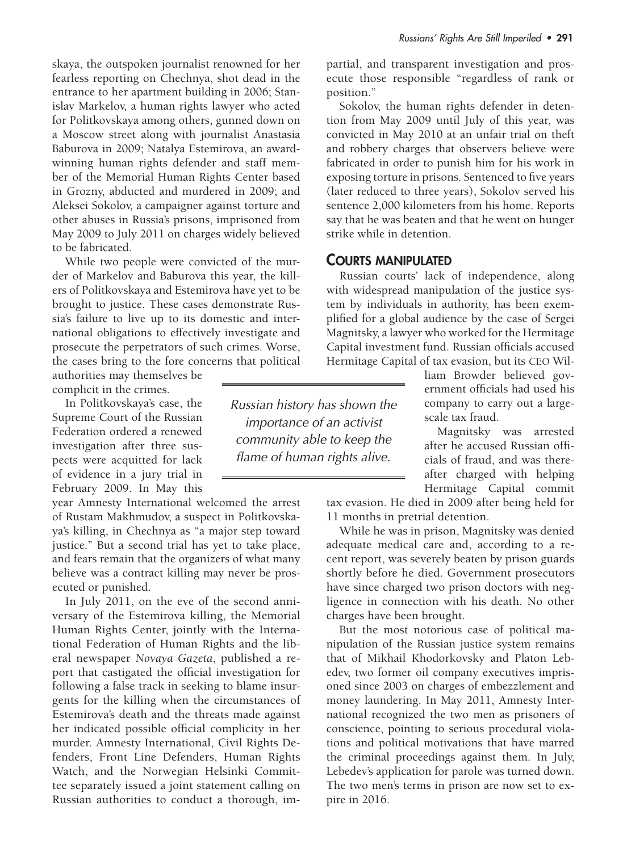skaya, the outspoken journalist renowned for her fearless reporting on Chechnya, shot dead in the entrance to her apartment building in 2006; Stanislav Markelov, a human rights lawyer who acted for Politkovskaya among others, gunned down on a Moscow street along with journalist Anastasia Baburova in 2009; Natalya Estemirova, an awardwinning human rights defender and staff member of the Memorial Human Rights Center based in Grozny, abducted and murdered in 2009; and Aleksei Sokolov, a campaigner against torture and other abuses in Russia's prisons, imprisoned from May 2009 to July 2011 on charges widely believed to be fabricated.

While two people were convicted of the murder of Markelov and Baburova this year, the killers of Politkovskaya and Estemirova have yet to be brought to justice. These cases demonstrate Russia's failure to live up to its domestic and international obligations to effectively investigate and prosecute the perpetrators of such crimes. Worse, the cases bring to the fore concerns that political

authorities may themselves be complicit in the crimes.

In Politkovskaya's case, the Supreme Court of the Russian Federation ordered a renewed investigation after three suspects were acquitted for lack of evidence in a jury trial in February 2009. In May this

year Amnesty International welcomed the arrest of Rustam Makhmudov, a suspect in Politkovskaya's killing, in Chechnya as "a major step toward justice." But a second trial has yet to take place, and fears remain that the organizers of what many believe was a contract killing may never be prosecuted or punished.

In July 2011, on the eve of the second anniversary of the Estemirova killing, the Memorial Human Rights Center, jointly with the International Federation of Human Rights and the liberal newspaper *Novaya Gazeta*, published a report that castigated the official investigation for following a false track in seeking to blame insurgents for the killing when the circumstances of Estemirova's death and the threats made against her indicated possible official complicity in her murder. Amnesty International, Civil Rights Defenders, Front Line Defenders, Human Rights Watch, and the Norwegian Helsinki Committee separately issued a joint statement calling on Russian authorities to conduct a thorough, impartial, and transparent investigation and prosecute those responsible "regardless of rank or position."

Sokolov, the human rights defender in detention from May 2009 until July of this year, was convicted in May 2010 at an unfair trial on theft and robbery charges that observers believe were fabricated in order to punish him for his work in exposing torture in prisons. Sentenced to five years (later reduced to three years), Sokolov served his sentence 2,000 kilometers from his home. Reports say that he was beaten and that he went on hunger strike while in detention.

# Courts manipulated

Russian courts' lack of independence, along with widespread manipulation of the justice system by individuals in authority, has been exemplified for a global audience by the case of Sergei Magnitsky, a lawyer who worked for the Hermitage Capital investment fund. Russian officials accused Hermitage Capital of tax evasion, but its CEO Wil-

> liam Browder believed government officials had used his company to carry out a largescale tax fraud.

> Magnitsky was arrested after he accused Russian officials of fraud, and was thereafter charged with helping Hermitage Capital commit

tax evasion. He died in 2009 after being held for 11 months in pretrial detention.

While he was in prison, Magnitsky was denied adequate medical care and, according to a recent report, was severely beaten by prison guards shortly before he died. Government prosecutors have since charged two prison doctors with negligence in connection with his death. No other charges have been brought.

But the most notorious case of political manipulation of the Russian justice system remains that of Mikhail Khodorkovsky and Platon Lebedev, two former oil company executives imprisoned since 2003 on charges of embezzlement and money laundering. In May 2011, Amnesty International recognized the two men as prisoners of conscience, pointing to serious procedural violations and political motivations that have marred the criminal proceedings against them. In July, Lebedev's application for parole was turned down. The two men's terms in prison are now set to expire in 2016.

*Russian history has shown the importance of an activist community able to keep the flame of human rights alive.*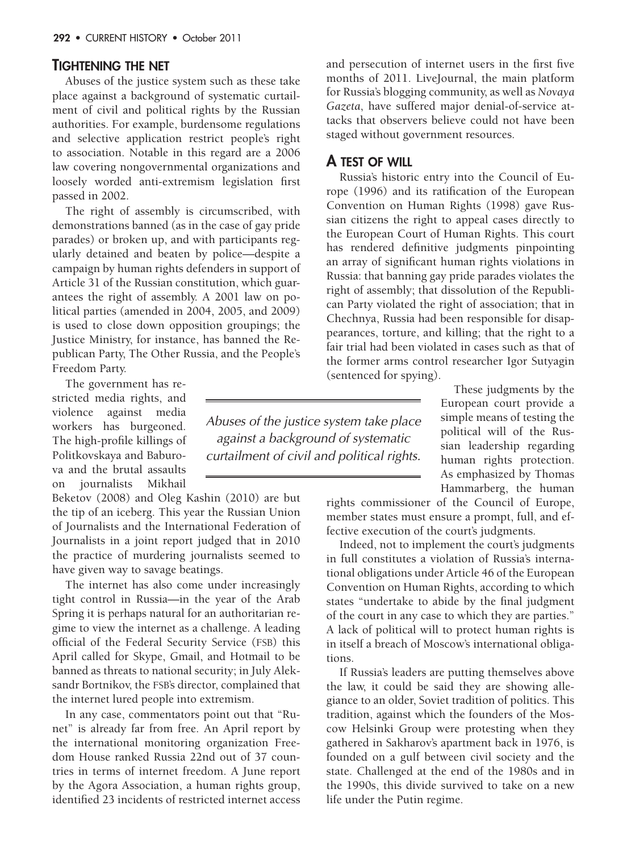## Tightening the net

Abuses of the justice system such as these take place against a background of systematic curtailment of civil and political rights by the Russian authorities. For example, burdensome regulations and selective application restrict people's right to association. Notable in this regard are a 2006 law covering nongovernmental organizations and loosely worded anti-extremism legislation first passed in 2002.

The right of assembly is circumscribed, with demonstrations banned (as in the case of gay pride parades) or broken up, and with participants regularly detained and beaten by police—despite a campaign by human rights defenders in support of Article 31 of the Russian constitution, which guarantees the right of assembly. A 2001 law on political parties (amended in 2004, 2005, and 2009) is used to close down opposition groupings; the Justice Ministry, for instance, has banned the Republican Party, The Other Russia, and the People's Freedom Party.

The government has restricted media rights, and violence against media workers has burgeoned. The high-profile killings of Politkovskaya and Baburova and the brutal assaults on journalists Mikhail

Beketov (2008) and Oleg Kashin (2010) are but the tip of an iceberg. This year the Russian Union of Journalists and the International Federation of Journalists in a joint report judged that in 2010 the practice of murdering journalists seemed to have given way to savage beatings.

The internet has also come under increasingly tight control in Russia—in the year of the Arab Spring it is perhaps natural for an authoritarian regime to view the internet as a challenge. A leading official of the Federal Security Service (FSB) this April called for Skype, Gmail, and Hotmail to be banned as threats to national security; in July Aleksandr Bortnikov, the FSB's director, complained that the internet lured people into extremism.

In any case, commentators point out that "Runet" is already far from free. An April report by the international monitoring organization Freedom House ranked Russia 22nd out of 37 countries in terms of internet freedom. A June report by the Agora Association, a human rights group, identified 23 incidents of restricted internet access and persecution of internet users in the first five months of 2011. LiveJournal, the main platform for Russia's blogging community, as well as *Novaya Gazeta*, have suffered major denial-of-service attacks that observers believe could not have been staged without government resources.

### A test of will

*Abuses of the justice system take place against a background of systematic curtailment of civil and political rights.*

Russia's historic entry into the Council of Europe (1996) and its ratification of the European Convention on Human Rights (1998) gave Russian citizens the right to appeal cases directly to the European Court of Human Rights. This court has rendered definitive judgments pinpointing an array of significant human rights violations in Russia: that banning gay pride parades violates the right of assembly; that dissolution of the Republican Party violated the right of association; that in Chechnya, Russia had been responsible for disappearances, torture, and killing; that the right to a fair trial had been violated in cases such as that of the former arms control researcher Igor Sutyagin (sentenced for spying).

> These judgments by the European court provide a simple means of testing the political will of the Russian leadership regarding human rights protection. As emphasized by Thomas Hammarberg, the human

rights commissioner of the Council of Europe, member states must ensure a prompt, full, and effective execution of the court's judgments.

Indeed, not to implement the court's judgments in full constitutes a violation of Russia's international obligations under Article 46 of the European Convention on Human Rights, according to which states "undertake to abide by the final judgment of the court in any case to which they are parties." A lack of political will to protect human rights is in itself a breach of Moscow's international obligations.

If Russia's leaders are putting themselves above the law, it could be said they are showing allegiance to an older, Soviet tradition of politics. This tradition, against which the founders of the Moscow Helsinki Group were protesting when they gathered in Sakharov's apartment back in 1976, is founded on a gulf between civil society and the state. Challenged at the end of the 1980s and in the 1990s, this divide survived to take on a new life under the Putin regime.